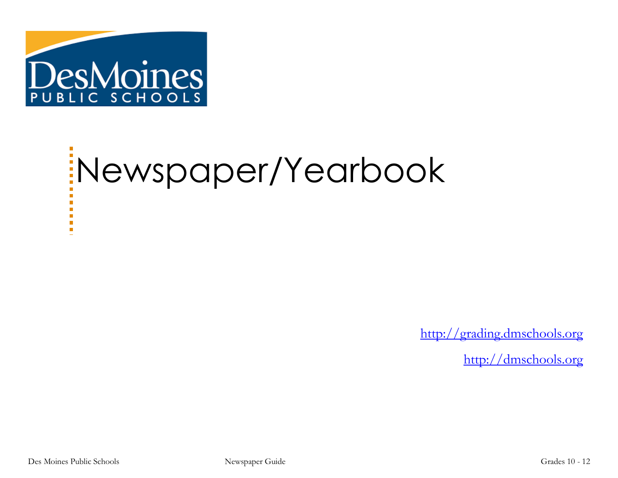

# Newspaper/Yearbook

[http://grading.dmschools.org](http://grading.dmschools.org/)

[http://dmschools.org](http://dmschools.org/)

×  $\mathcal{L}_{\mathcal{A}}$ a.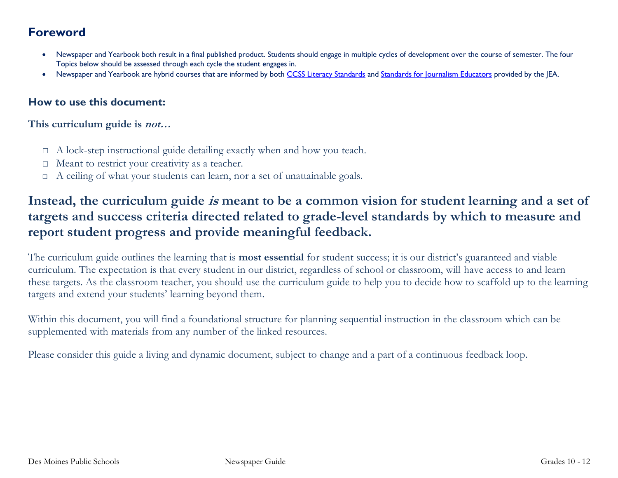## **Foreword**

- Newspaper and Yearbook both result in a final published product. Students should engage in multiple cycles of development over the course of semester. The four Topics below should be assessed through each cycle the student engages in.
- Newspaper and Yearbook are hybrid courses that are informed by both [CCSS Literacy Standards](https://iowacore.gov/standards/literacy/k-1-2-3-4-5-6-7-8-9-10-11-12/literacy) and [Standards for Journalism Educators](http://jea.org/wp/home/for-educators/standards/) provided by the JEA.

## **How to use this document:**

## **This curriculum guide is not…**

- □ A lock-step instructional guide detailing exactly when and how you teach.
- $\Box$  Meant to restrict your creativity as a teacher.
- $\Box$  A ceiling of what your students can learn, nor a set of unattainable goals.

## **Instead, the curriculum guide is meant to be a common vision for student learning and a set of targets and success criteria directed related to grade-level standards by which to measure and report student progress and provide meaningful feedback.**

The curriculum guide outlines the learning that is **most essential** for student success; it is our district's guaranteed and viable curriculum. The expectation is that every student in our district, regardless of school or classroom, will have access to and learn these targets. As the classroom teacher, you should use the curriculum guide to help you to decide how to scaffold up to the learning targets and extend your students' learning beyond them.

Within this document, you will find a foundational structure for planning sequential instruction in the classroom which can be supplemented with materials from any number of the linked resources.

Please consider this guide a living and dynamic document, subject to change and a part of a continuous feedback loop.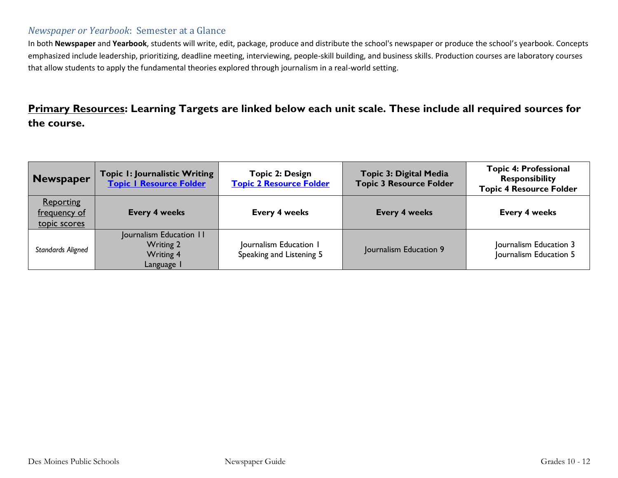## *Newspaper or Yearbook*: Semester at a Glance

In both **Newspaper** and **Yearbook**, students will write, edit, package, produce and distribute the school's newspaper or produce the school's yearbook. Concepts emphasized include leadership, prioritizing, deadline meeting, interviewing, people-skill building, and business skills. Production courses are laboratory courses that allow students to apply the fundamental theories explored through journalism in a real-world setting.

## **Primary Resources: Learning Targets are linked below each unit scale. These include all required sources for the course.**

| Newspaper                                        | Topic I: Journalistic Writing<br><b>Topic I Resource Folder</b>               | Topic 2: Design<br><b>Topic 2 Resource Folder</b>  | <b>Topic 3: Digital Media</b><br><b>Topic 3 Resource Folder</b> | <b>Topic 4: Professional</b><br><b>Responsibility</b><br><b>Topic 4 Resource Folder</b> |
|--------------------------------------------------|-------------------------------------------------------------------------------|----------------------------------------------------|-----------------------------------------------------------------|-----------------------------------------------------------------------------------------|
| <b>Reporting</b><br>frequency of<br>topic scores | <b>Every 4 weeks</b>                                                          | <b>Every 4 weeks</b>                               | <b>Every 4 weeks</b>                                            | <b>Every 4 weeks</b>                                                                    |
| Standards Aligned                                | Journalism Education 11<br><b>Writing 2</b><br><b>Writing 4</b><br>Language I | Journalism Education 1<br>Speaking and Listening 5 | Journalism Education 9                                          | Journalism Education 3<br>Journalism Education 5                                        |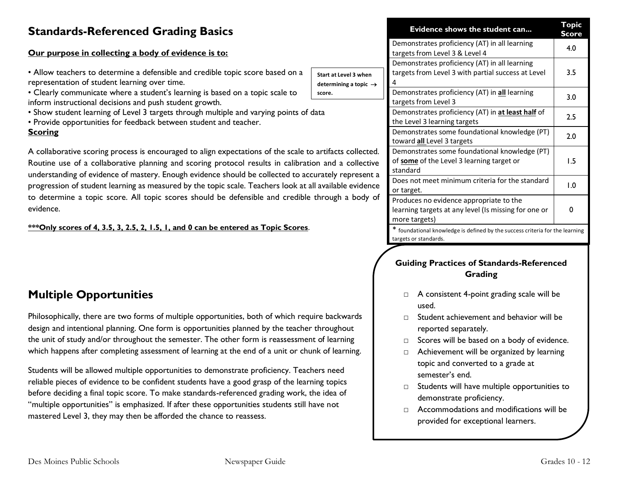## **Standards-Referenced Grading Basics**

## **Our purpose in collecting a body of evidence is to:**

- Allow teachers to determine a defensible and credible topic score based on representation of student learning over time.
- Clearly communicate where a student's learning is based on a topic scale to inform instructional decisions and push student growth.
- Show student learning of Level 3 targets through multiple and varying points
- Provide opportunities for feedback between student and teacher.

#### **Scoring**

A collaborative scoring process is encouraged to align expectations of the scale Routine use of a collaborative planning and scoring protocol results in calib understanding of evidence of mastery. Enough evidence should be collected to progression of student learning as measured by the topic scale. Teachers look to determine a topic score. All topic scores should be defensible and cred evidence.

### **\*\*\*Only scores of 4, 3.5, 3, 2.5, 2, 1.5, 1, and 0 can be entered as Topic Scores**.

## **Multiple Opportunities**

Philosophically, there are two forms of multiple opportunities, both of which require backwards design and intentional planning. One form is opportunities planned by the teacher throughout the unit of study and/or throughout the semester. The other form is reassessment of learning which happens after completing assessment of learning at the end of a unit or chunk of learning.

Students will be allowed multiple opportunities to demonstrate proficiency. Teachers need reliable pieces of evidence to be confident students have a good grasp of the learning topics before deciding a final topic score. To make standards-referenced grading work, the idea of "multiple opportunities" is emphasized. If after these opportunities students still have not mastered Level 3, they may then be afforded the chance to reassess.

|                                                                   |                                                                                                          | Evidence shows the student can                                                                                   | Topic<br>Score |
|-------------------------------------------------------------------|----------------------------------------------------------------------------------------------------------|------------------------------------------------------------------------------------------------------------------|----------------|
|                                                                   |                                                                                                          | Demonstrates proficiency (AT) in all learning<br>targets from Level 3 & Level 4                                  | 4.0            |
| ı a<br>Start at Level 3 when<br>determining a topic $\rightarrow$ | Demonstrates proficiency (AT) in all learning<br>targets from Level 3 with partial success at Level<br>4 | 3.5                                                                                                              |                |
| score.<br>s of data                                               |                                                                                                          | Demonstrates proficiency (AT) in all learning<br>targets from Level 3                                            | 3.0            |
|                                                                   |                                                                                                          | Demonstrates proficiency (AT) in at least half of<br>the Level 3 learning targets                                | 2.5            |
|                                                                   |                                                                                                          | Demonstrates some foundational knowledge (PT)<br>toward all Level 3 targets                                      | 2.0            |
|                                                                   | ale to artifacts collected.<br>bration and a collective                                                  | Demonstrates some foundational knowledge (PT)<br>of some of the Level 3 learning target or<br>standard           | 1.5            |
| o accurately represent a<br>< at all available evidence           |                                                                                                          | Does not meet minimum criteria for the standard<br>or target.                                                    | 1.0            |
|                                                                   | dible through a body of                                                                                  | Produces no evidence appropriate to the<br>learning targets at any level (Is missing for one or<br>more targets) |                |
| res.                                                              |                                                                                                          | foundational knowledge is defined by the success criteria for the learning                                       |                |

targets or standards.

## **Guiding Practices of Standards-Referenced Grading**

- □ A consistent 4-point grading scale will be used.
- $\nabla$  Student achievement and behavior will be reported separately.
- □ Scores will be based on a body of evidence.
- □ Achievement will be organized by learning topic and converted to a grade at semester's end.
- □ Students will have multiple opportunities to demonstrate proficiency.
- □ Accommodations and modifications will be provided for exceptional learners.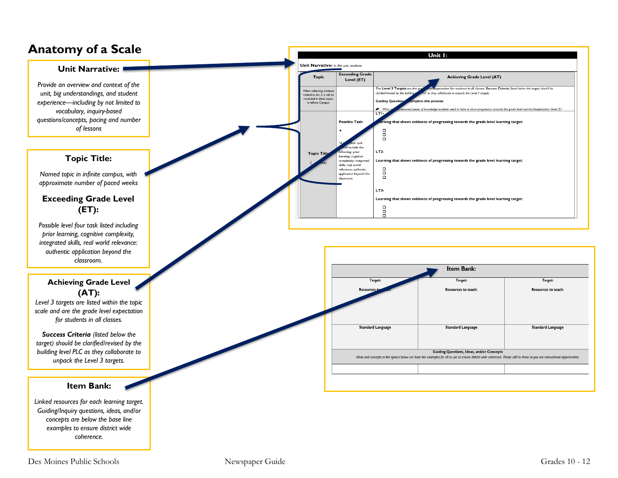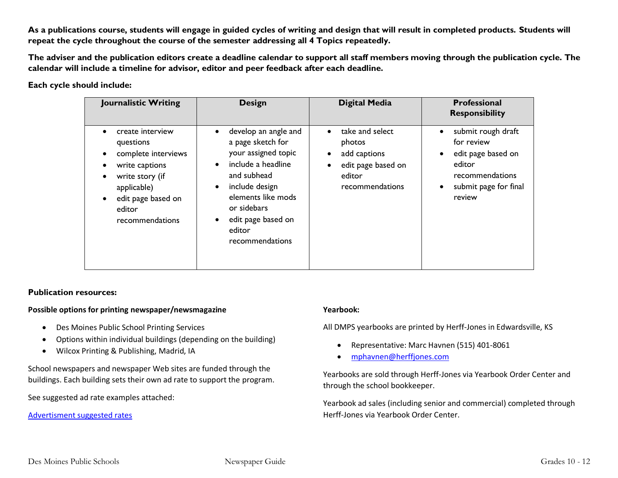**As a publications course, students will engage in guided cycles of writing and design that will result in completed products. Students will repeat the cycle throughout the course of the semester addressing all 4 Topics repeatedly.** 

**The adviser and the publication editors create a deadline calendar to support all staff members moving through the publication cycle. The calendar will include a timeline for advisor, editor and peer feedback after each deadline.**

#### **Each cycle should include:**

| Journalistic Writing                                                                                                                                        | <b>Design</b>                                                                                                                                                                                                                | <b>Digital Media</b>                                                                                                                | <b>Professional</b><br><b>Responsibility</b>                                                                                                                  |
|-------------------------------------------------------------------------------------------------------------------------------------------------------------|------------------------------------------------------------------------------------------------------------------------------------------------------------------------------------------------------------------------------|-------------------------------------------------------------------------------------------------------------------------------------|---------------------------------------------------------------------------------------------------------------------------------------------------------------|
| create interview<br>questions<br>complete interviews<br>write captions<br>write story (if<br>applicable)<br>edit page based on<br>editor<br>recommendations | develop an angle and<br>a page sketch for<br>your assigned topic<br>include a headline<br>$\bullet$<br>and subhead<br>include design<br>elements like mods<br>or sidebars<br>edit page based on<br>editor<br>recommendations | take and select<br>$\bullet$<br>photos<br>add captions<br>$\bullet$<br>edit page based on<br>$\bullet$<br>editor<br>recommendations | submit rough draft<br>$\bullet$<br>for review<br>edit page based on<br>$\bullet$<br>editor<br>recommendations<br>submit page for final<br>$\bullet$<br>review |

#### **Publication resources:**

#### **Possible options for printing newspaper/newsmagazine**

- Des Moines Public School Printing Services
- Options within individual buildings (depending on the building)
- Wilcox Printing & Publishing, Madrid, IA

School newspapers and newspaper Web sites are funded through the buildings. Each building sets their own ad rate to support the program.

See suggested ad rate examples attached:

[Advertisment suggested rates](https://eastscroll.com/wp-content/uploads/2022/04/ad-pricing-2022.pdf)

#### **Yearbook:**

All DMPS yearbooks are printed by Herff-Jones in Edwardsville, KS

- Representative: Marc Havnen (515) 401-8061
- [mphavnen@herffjones.com](mailto:mphavnen@herffjones.com)

Yearbooks are sold through Herff-Jones via Yearbook Order Center and through the school bookkeeper.

Yearbook ad sales (including senior and commercial) completed through Herff-Jones via Yearbook Order Center.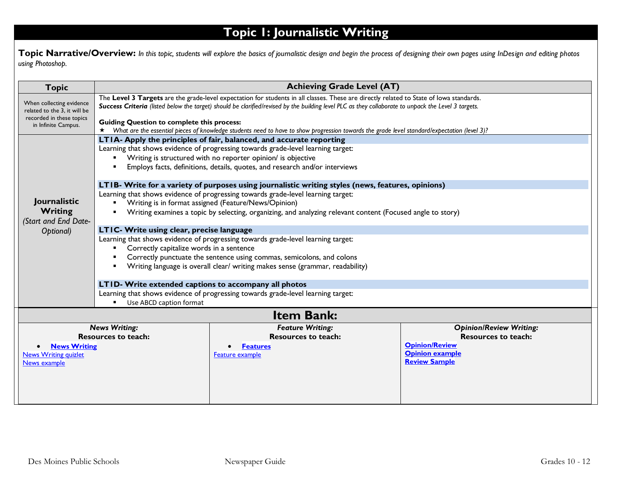# **Topic 1: Journalistic Writing**

**Topic Narrative/Overview:** In this topic, students will explore the basics of journalistic design and begin the process of designing their own pages using InDesign and editing photos *using Photoshop.*

| <b>Topic</b>                                                                                         | <b>Achieving Grade Level (AT)</b>                                                                                                                                                                                                                                                              |                                                                                                                                              |                                                 |  |
|------------------------------------------------------------------------------------------------------|------------------------------------------------------------------------------------------------------------------------------------------------------------------------------------------------------------------------------------------------------------------------------------------------|----------------------------------------------------------------------------------------------------------------------------------------------|-------------------------------------------------|--|
| When collecting evidence<br>related to the 3, it will be                                             | The Level 3 Targets are the grade-level expectation for students in all classes. These are directly related to State of lowa standards.<br>Success Criteria (listed below the target) should be clarified/revised by the building level PLC as they collaborate to unpack the Level 3 targets. |                                                                                                                                              |                                                 |  |
| recorded in these topics<br><b>Guiding Question to complete this process:</b><br>in Infinite Campus. |                                                                                                                                                                                                                                                                                                |                                                                                                                                              |                                                 |  |
|                                                                                                      |                                                                                                                                                                                                                                                                                                | What are the essential pieces of knowledge students need to have to show progression towards the grade level standard/expectation (level 3)? |                                                 |  |
|                                                                                                      | LTIA- Apply the principles of fair, balanced, and accurate reporting                                                                                                                                                                                                                           |                                                                                                                                              |                                                 |  |
|                                                                                                      | Learning that shows evidence of progressing towards grade-level learning target:<br>Writing is structured with no reporter opinion/ is objective                                                                                                                                               |                                                                                                                                              |                                                 |  |
|                                                                                                      |                                                                                                                                                                                                                                                                                                | Employs facts, definitions, details, quotes, and research and/or interviews                                                                  |                                                 |  |
|                                                                                                      |                                                                                                                                                                                                                                                                                                |                                                                                                                                              |                                                 |  |
|                                                                                                      |                                                                                                                                                                                                                                                                                                | LTIB- Write for a variety of purposes using journalistic writing styles (news, features, opinions)                                           |                                                 |  |
|                                                                                                      |                                                                                                                                                                                                                                                                                                | Learning that shows evidence of progressing towards grade-level learning target:                                                             |                                                 |  |
| Journalistic                                                                                         | Writing is in format assigned (Feature/News/Opinion)                                                                                                                                                                                                                                           |                                                                                                                                              |                                                 |  |
| Writing<br>(Start and End Date-                                                                      | Writing examines a topic by selecting, organizing, and analyzing relevant content (Focused angle to story)                                                                                                                                                                                     |                                                                                                                                              |                                                 |  |
| Optional)                                                                                            | LTIC- Write using clear, precise language                                                                                                                                                                                                                                                      |                                                                                                                                              |                                                 |  |
|                                                                                                      | Learning that shows evidence of progressing towards grade-level learning target:                                                                                                                                                                                                               |                                                                                                                                              |                                                 |  |
|                                                                                                      | Correctly capitalize words in a sentence                                                                                                                                                                                                                                                       |                                                                                                                                              |                                                 |  |
|                                                                                                      | Correctly punctuate the sentence using commas, semicolons, and colons                                                                                                                                                                                                                          |                                                                                                                                              |                                                 |  |
|                                                                                                      | Writing language is overall clear/ writing makes sense (grammar, readability)                                                                                                                                                                                                                  |                                                                                                                                              |                                                 |  |
|                                                                                                      | LTID- Write extended captions to accompany all photos                                                                                                                                                                                                                                          |                                                                                                                                              |                                                 |  |
|                                                                                                      | Learning that shows evidence of progressing towards grade-level learning target:                                                                                                                                                                                                               |                                                                                                                                              |                                                 |  |
|                                                                                                      | Use ABCD caption format                                                                                                                                                                                                                                                                        |                                                                                                                                              |                                                 |  |
| <b>Item Bank:</b>                                                                                    |                                                                                                                                                                                                                                                                                                |                                                                                                                                              |                                                 |  |
|                                                                                                      | <b>News Writing:</b>                                                                                                                                                                                                                                                                           | <b>Feature Writing:</b>                                                                                                                      | <b>Opinion/Review Writing:</b>                  |  |
|                                                                                                      | <b>Resources to teach:</b>                                                                                                                                                                                                                                                                     | <b>Resources to teach:</b>                                                                                                                   | <b>Resources to teach:</b>                      |  |
| <b>News Writing</b>                                                                                  |                                                                                                                                                                                                                                                                                                | <b>Features</b>                                                                                                                              | <b>Opinion/Review</b><br><b>Opinion example</b> |  |
| <b>News Writing quizlet</b><br>News example                                                          |                                                                                                                                                                                                                                                                                                | Feature example                                                                                                                              | <b>Review Sample</b>                            |  |
|                                                                                                      |                                                                                                                                                                                                                                                                                                |                                                                                                                                              |                                                 |  |
|                                                                                                      |                                                                                                                                                                                                                                                                                                |                                                                                                                                              |                                                 |  |
|                                                                                                      |                                                                                                                                                                                                                                                                                                |                                                                                                                                              |                                                 |  |
|                                                                                                      |                                                                                                                                                                                                                                                                                                |                                                                                                                                              |                                                 |  |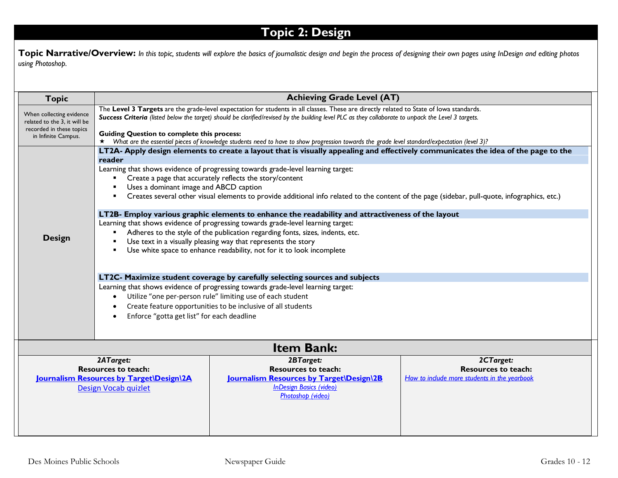## **Topic 2: Design**

Topic Narrative/Overview: In this topic, students will explore the basics of journalistic design and begin the process of designing their own pages using InDesign and editing photos *using Photoshop.*

| <b>Topic</b>                                                                                                | <b>Achieving Grade Level (AT)</b>                                                                                                                                                                                                                                                                                                                                                                                                                                                                                                                                                                                                                                                                                                                                                                                                                                                                                                                                                                                                                                                                                                                                                                                                                          |                                                                                                                                            |                                                                                         |
|-------------------------------------------------------------------------------------------------------------|------------------------------------------------------------------------------------------------------------------------------------------------------------------------------------------------------------------------------------------------------------------------------------------------------------------------------------------------------------------------------------------------------------------------------------------------------------------------------------------------------------------------------------------------------------------------------------------------------------------------------------------------------------------------------------------------------------------------------------------------------------------------------------------------------------------------------------------------------------------------------------------------------------------------------------------------------------------------------------------------------------------------------------------------------------------------------------------------------------------------------------------------------------------------------------------------------------------------------------------------------------|--------------------------------------------------------------------------------------------------------------------------------------------|-----------------------------------------------------------------------------------------|
| When collecting evidence<br>related to the 3, it will be<br>recorded in these topics<br>in Infinite Campus. | The Level 3 Targets are the grade-level expectation for students in all classes. These are directly related to State of lowa standards.<br>Success Criteria (listed below the target) should be clarified/revised by the building level PLC as they collaborate to unpack the Level 3 targets.<br><b>Guiding Question to complete this process:</b><br>* What are the essential pieces of knowledge students need to have to show progression towards the grade level standard/expectation (level 3)?                                                                                                                                                                                                                                                                                                                                                                                                                                                                                                                                                                                                                                                                                                                                                      |                                                                                                                                            |                                                                                         |
| <b>Design</b>                                                                                               | LT2A- Apply design elements to create a layout that is visually appealing and effectively communicates the idea of the page to the<br>reader<br>Learning that shows evidence of progressing towards grade-level learning target:<br>Create a page that accurately reflects the story/content<br>Uses a dominant image and ABCD caption<br>Creates several other visual elements to provide additional info related to the content of the page (sidebar, pull-quote, infographics, etc.)<br>LT2B- Employ various graphic elements to enhance the readability and attractiveness of the layout<br>Learning that shows evidence of progressing towards grade-level learning target:<br>Adheres to the style of the publication regarding fonts, sizes, indents, etc.<br>Use text in a visually pleasing way that represents the story<br>Use white space to enhance readability, not for it to look incomplete<br>LT2C- Maximize student coverage by carefully selecting sources and subjects<br>Learning that shows evidence of progressing towards grade-level learning target:<br>Utilize "one per-person rule" limiting use of each student<br>Create feature opportunities to be inclusive of all students<br>Enforce "gotta get list" for each deadline |                                                                                                                                            |                                                                                         |
|                                                                                                             |                                                                                                                                                                                                                                                                                                                                                                                                                                                                                                                                                                                                                                                                                                                                                                                                                                                                                                                                                                                                                                                                                                                                                                                                                                                            | <b>Item Bank:</b>                                                                                                                          |                                                                                         |
| 2ATarget:<br><b>Resources to teach:</b><br>Journalism Resources by Target\Design\2A<br>Design Vocab quizlet |                                                                                                                                                                                                                                                                                                                                                                                                                                                                                                                                                                                                                                                                                                                                                                                                                                                                                                                                                                                                                                                                                                                                                                                                                                                            | 2BTarget:<br><b>Resources to teach:</b><br>Journalism Resources by Target\Design\2B<br><b>InDesign Basics (video)</b><br>Photoshop (video) | 2CTarget:<br><b>Resources to teach:</b><br>How to include more students in the yearbook |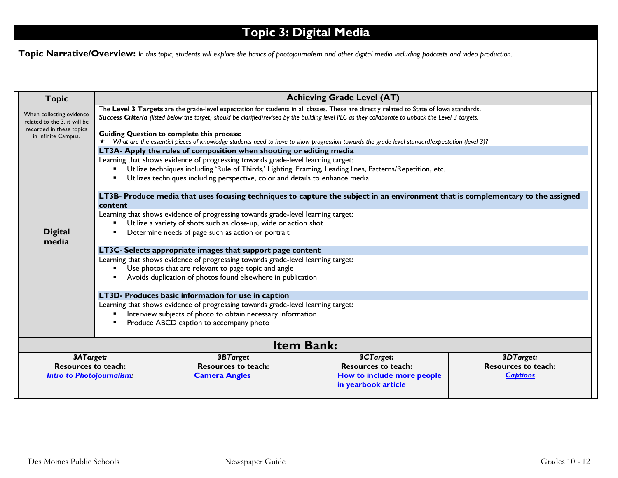# **Topic 3: Digital Media**

**Topic Narrative/Overview:** *In this topic, students will explore the basics of photojournalism and other digital media including podcasts and video production.*

| <b>Topic</b>                                                                                                                                                                                                                                                                                                                                                                           | <b>Achieving Grade Level (AT)</b>                                                                                                                                                                   |                                                                                                            |                                                                                                                                  |                            |  |
|----------------------------------------------------------------------------------------------------------------------------------------------------------------------------------------------------------------------------------------------------------------------------------------------------------------------------------------------------------------------------------------|-----------------------------------------------------------------------------------------------------------------------------------------------------------------------------------------------------|------------------------------------------------------------------------------------------------------------|----------------------------------------------------------------------------------------------------------------------------------|----------------------------|--|
| The Level 3 Targets are the grade-level expectation for students in all classes. These are directly related to State of lowa standards.<br>When collecting evidence<br>Success Criteria (listed below the target) should be clarified/revised by the building level PLC as they collaborate to unpack the Level 3 targets.<br>related to the 3, it will be<br>recorded in these topics |                                                                                                                                                                                                     |                                                                                                            |                                                                                                                                  |                            |  |
| in Infinite Campus.                                                                                                                                                                                                                                                                                                                                                                    | <b>Guiding Question to complete this process:</b><br>* What are the essential pieces of knowledge students need to have to show progression towards the grade level standard/expectation (level 3)? |                                                                                                            |                                                                                                                                  |                            |  |
|                                                                                                                                                                                                                                                                                                                                                                                        |                                                                                                                                                                                                     | LT3A- Apply the rules of composition when shooting or editing media                                        |                                                                                                                                  |                            |  |
|                                                                                                                                                                                                                                                                                                                                                                                        |                                                                                                                                                                                                     | Learning that shows evidence of progressing towards grade-level learning target:                           |                                                                                                                                  |                            |  |
|                                                                                                                                                                                                                                                                                                                                                                                        |                                                                                                                                                                                                     | Utilize techniques including 'Rule of Thirds,' Lighting, Framing, Leading lines, Patterns/Repetition, etc. |                                                                                                                                  |                            |  |
|                                                                                                                                                                                                                                                                                                                                                                                        |                                                                                                                                                                                                     | Utilizes techniques including perspective, color and details to enhance media                              |                                                                                                                                  |                            |  |
|                                                                                                                                                                                                                                                                                                                                                                                        | content                                                                                                                                                                                             |                                                                                                            | LT3B- Produce media that uses focusing techniques to capture the subject in an environment that is complementary to the assigned |                            |  |
|                                                                                                                                                                                                                                                                                                                                                                                        |                                                                                                                                                                                                     | Learning that shows evidence of progressing towards grade-level learning target:                           |                                                                                                                                  |                            |  |
|                                                                                                                                                                                                                                                                                                                                                                                        |                                                                                                                                                                                                     | Utilize a variety of shots such as close-up, wide or action shot                                           |                                                                                                                                  |                            |  |
| <b>Digital</b><br>media                                                                                                                                                                                                                                                                                                                                                                | Determine needs of page such as action or portrait                                                                                                                                                  |                                                                                                            |                                                                                                                                  |                            |  |
|                                                                                                                                                                                                                                                                                                                                                                                        | LT3C- Selects appropriate images that support page content                                                                                                                                          |                                                                                                            |                                                                                                                                  |                            |  |
|                                                                                                                                                                                                                                                                                                                                                                                        | Learning that shows evidence of progressing towards grade-level learning target:                                                                                                                    |                                                                                                            |                                                                                                                                  |                            |  |
|                                                                                                                                                                                                                                                                                                                                                                                        | Use photos that are relevant to page topic and angle                                                                                                                                                |                                                                                                            |                                                                                                                                  |                            |  |
|                                                                                                                                                                                                                                                                                                                                                                                        | Avoids duplication of photos found elsewhere in publication                                                                                                                                         |                                                                                                            |                                                                                                                                  |                            |  |
|                                                                                                                                                                                                                                                                                                                                                                                        |                                                                                                                                                                                                     | LT3D- Produces basic information for use in caption                                                        |                                                                                                                                  |                            |  |
|                                                                                                                                                                                                                                                                                                                                                                                        |                                                                                                                                                                                                     | Learning that shows evidence of progressing towards grade-level learning target:                           |                                                                                                                                  |                            |  |
|                                                                                                                                                                                                                                                                                                                                                                                        | Interview subjects of photo to obtain necessary information                                                                                                                                         |                                                                                                            |                                                                                                                                  |                            |  |
|                                                                                                                                                                                                                                                                                                                                                                                        | Produce ABCD caption to accompany photo                                                                                                                                                             |                                                                                                            |                                                                                                                                  |                            |  |
| <b>Item Bank:</b>                                                                                                                                                                                                                                                                                                                                                                      |                                                                                                                                                                                                     |                                                                                                            |                                                                                                                                  |                            |  |
| 3ATarget:                                                                                                                                                                                                                                                                                                                                                                              |                                                                                                                                                                                                     | 3BTarget                                                                                                   | 3CTarget:                                                                                                                        | 3DTarget:                  |  |
| <b>Resources to teach:</b>                                                                                                                                                                                                                                                                                                                                                             |                                                                                                                                                                                                     | <b>Resources to teach:</b>                                                                                 | <b>Resources to teach:</b>                                                                                                       | <b>Resources to teach:</b> |  |
| <b>Intro to Photojournalism:</b>                                                                                                                                                                                                                                                                                                                                                       |                                                                                                                                                                                                     | <b>Camera Angles</b>                                                                                       | How to include more people                                                                                                       | <b>Captions</b>            |  |
|                                                                                                                                                                                                                                                                                                                                                                                        |                                                                                                                                                                                                     |                                                                                                            | in yearbook article                                                                                                              |                            |  |
|                                                                                                                                                                                                                                                                                                                                                                                        |                                                                                                                                                                                                     |                                                                                                            |                                                                                                                                  |                            |  |